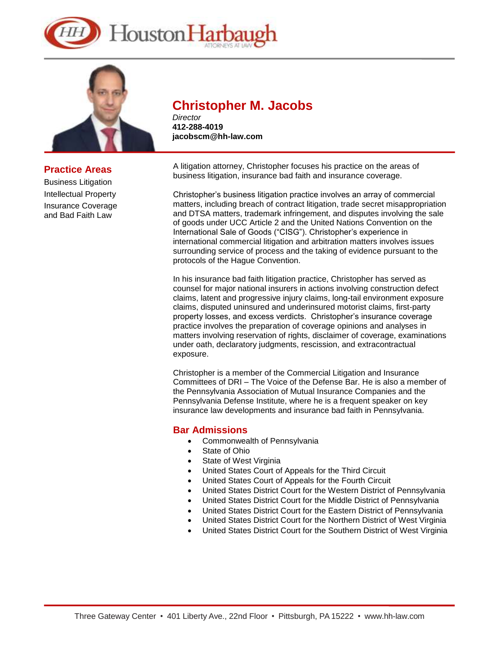



**Practice Areas**  Business Litigation Intellectual Property Insurance Coverage and Bad Faith Law

# **Christopher M. Jacobs**

*Director* **412-288-4019 jacobscm@hh-law.com** 

A litigation attorney, Christopher focuses his practice on the areas of business litigation, insurance bad faith and insurance coverage.

Christopher's business litigation practice involves an array of commercial matters, including breach of contract litigation, trade secret misappropriation and DTSA matters, trademark infringement, and disputes involving the sale of goods under UCC Article 2 and the United Nations Convention on the International Sale of Goods ("CISG"). Christopher's experience in international commercial litigation and arbitration matters involves issues surrounding service of process and the taking of evidence pursuant to the protocols of the Hague Convention.

In his insurance bad faith litigation practice, Christopher has served as counsel for major national insurers in actions involving construction defect claims, latent and progressive injury claims, long-tail environment exposure claims, disputed uninsured and underinsured motorist claims, first-party property losses, and excess verdicts. Christopher's insurance coverage practice involves the preparation of coverage opinions and analyses in matters involving reservation of rights, disclaimer of coverage, examinations under oath, declaratory judgments, rescission, and extracontractual exposure.

Christopher is a member of the Commercial Litigation and Insurance Committees of DRI – The Voice of the Defense Bar. He is also a member of the Pennsylvania Association of Mutual Insurance Companies and the Pennsylvania Defense Institute, where he is a frequent speaker on key insurance law developments and insurance bad faith in Pennsylvania.

#### **Bar Admissions**

- Commonwealth of Pennsylvania
- State of Ohio
- State of West Virginia
- United States Court of Appeals for the Third Circuit
- United States Court of Appeals for the Fourth Circuit
- United States District Court for the Western District of Pennsylvania
- United States District Court for the Middle District of Pennsylvania
- United States District Court for the Eastern District of Pennsylvania
- United States District Court for the Northern District of West Virginia
- United States District Court for the Southern District of West Virginia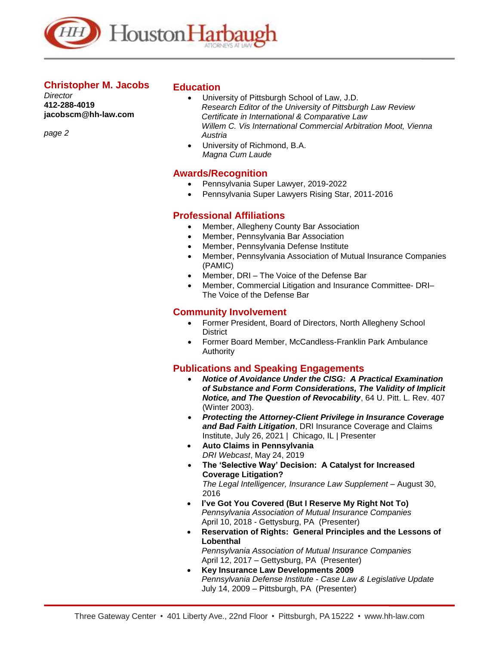

## **Christopher M. Jacobs**

*Director* **412-288-4019 jacobscm@hh-law.com**

*page 2*

#### **Education**

- University of Pittsburgh School of Law, J.D. *Research Editor of the University of Pittsburgh Law Review Certificate in International & Comparative Law Willem C. Vis International Commercial Arbitration Moot, Vienna Austria*
- University of Richmond, B.A. *Magna Cum Laude*

## **Awards/Recognition**

- Pennsylvania Super Lawyer, 2019-2022
- Pennsylvania Super Lawyers Rising Star, 2011-2016

## **Professional Affiliations**

- Member, Allegheny County Bar Association
- Member, Pennsylvania Bar Association
- Member, Pennsylvania Defense Institute
- Member, Pennsylvania Association of Mutual Insurance Companies (PAMIC)
- Member, DRI The Voice of the Defense Bar
- Member, Commercial Litigation and Insurance Committee- DRI– The Voice of the Defense Bar

# **Community Involvement**

- Former President, Board of Directors, North Allegheny School **District**
- Former Board Member, McCandless-Franklin Park Ambulance Authority

# **Publications and Speaking Engagements**

- *Notice of Avoidance Under the CISG: A Practical Examination of Substance and Form Considerations, The Validity of Implicit Notice, and The Question of Revocability*, 64 U. Pitt. L. Rev. 407 (Winter 2003).
- *Protecting the Attorney-Client Privilege in Insurance Coverage and Bad Faith Litigation*, DRI Insurance Coverage and Claims Institute, July 26, 2021 | Chicago, IL | Presenter
- **Auto Claims in Pennsylvania** *DRI Webcast*, May 24, 2019
- **The 'Selective Way' Decision: A Catalyst for Increased Coverage Litigation?** *The Legal Intelligencer, Insurance Law Supplement* – August 30, 2016
- **I've Got You Covered (But I Reserve My Right Not To)** *Pennsylvania Association of Mutual Insurance Companies* April 10, 2018 - Gettysburg, PA (Presenter)
- **Reservation of Rights: General Principles and the Lessons of Lobenthal** *Pennsylvania Association of Mutual Insurance Companies* April 12, 2017 – Gettysburg, PA (Presenter)
- **Key Insurance Law Developments 2009** *Pennsylvania Defense Institute - Case Law & Legislative Update* July 14, 2009 – Pittsburgh, PA (Presenter)